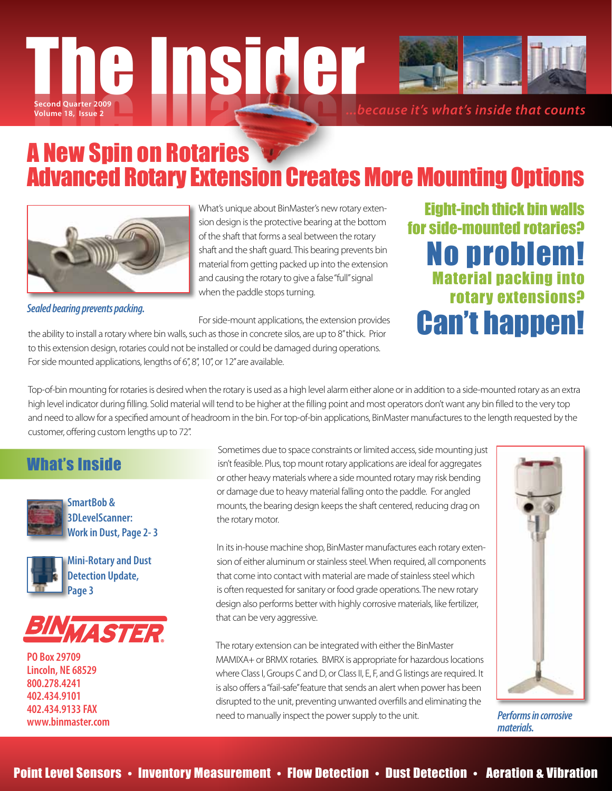# The Institute of **Second Quarter 2009 Volume 18, Issue 2** *...because it's what's inside that counts*



# A New Spin on Rotaries Advanced Rotary Extension Creates More Mounting Options



What's unique about BinMaster's new rotary extension design is the protective bearing at the bottom of the shaft that forms a seal between the rotary shaft and the shaft guard. This bearing prevents bin material from getting packed up into the extension and causing the rotary to give a false "full" signal when the paddle stops turning.

For side-mount applications, the extension provides the ability to install a rotary where bin walls, such as those in concrete silos, are up to 8" thick. Prior to this extension design, rotaries could not be installed or could be damaged during operations.

Eight-inch thick bin walls for side-mounted rotaries? No problem! Material packing into rotary extensions? Sealed bearing prevents packing.<br>For side-mount applications, the extension provides<br>the ability to install a retany where hin walls such as those in concrete silos are un to 8" thick. Prior

For side mounted applications, lengths of 6", 8", 10", or 12" are available. Top-of-bin mounting for rotaries is desired when the rotary is used as a high level alarm either alone or in addition to a side-mounted rotary as an extra high level indicator during filling. Solid material will tend to be higher at the filling point and most operators don't want any bin filled to the very top and need to allow for a specified amount of headroom in the bin. For top-of-bin applications, BinMaster manufactures to the length requested by the

customer, offering custom lengths up to 72".

# What's Inside



**SmartBob & 3DLevelScanner: Work in Dust, Page 2- 3**



**Mini-Rotary and Dust Detection Update, Page 3**



**PO Box 29709 Lincoln, NE 68529 800.278.4241 402.434.9101 402.434.9133 FAX www.binmaster.com**

Sometimes due to space constraints or limited access, side mounting just isn't feasible. Plus, top mount rotary applications are ideal for aggregates or other heavy materials where a side mounted rotary may risk bending or damage due to heavy material falling onto the paddle. For angled mounts, the bearing design keeps the shaft centered, reducing drag on the rotary motor.

In its in-house machine shop, BinMaster manufactures each rotary extension of either aluminum or stainless steel. When required, all components that come into contact with material are made of stainless steel which is often requested for sanitary or food grade operations. The new rotary design also performs better with highly corrosive materials, like fertilizer, that can be very aggressive.

The rotary extension can be integrated with either the BinMaster MAMIXA+ or BRMX rotaries. BMRX is appropriate for hazardous locations where Class I, Groups C and D, or Class II, E, F, and G listings are required. It is also offers a "fail-safe" feature that sends an alert when power has been disrupted to the unit, preventing unwanted overfills and eliminating the need to manually inspect the power supply to the unit.



*Performs in corrosive materials.*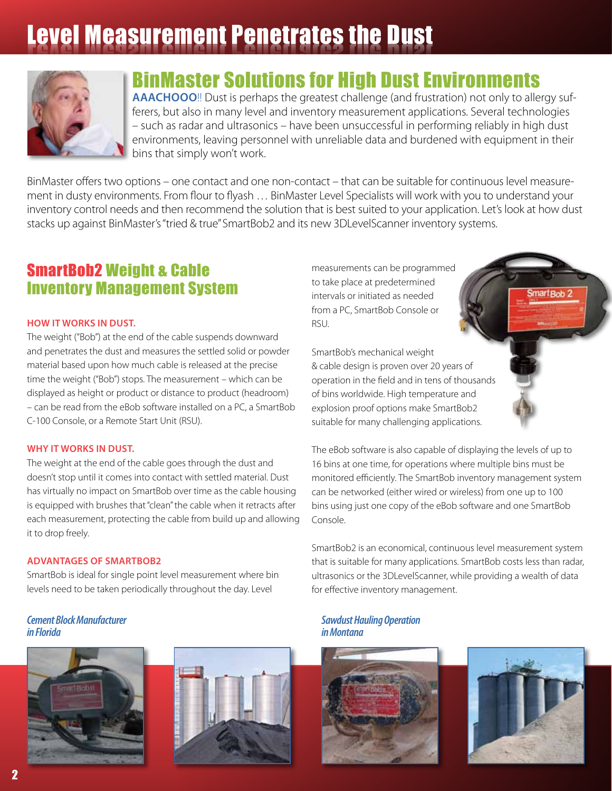# Level Measurement Penetrates the Dust



# BinMaster Solutions for High Dust Environments

**AAACHOOO**!! Dust is perhaps the greatest challenge (and frustration) not only to allergy sufferers, but also in many level and inventory measurement applications. Several technologies – such as radar and ultrasonics – have been unsuccessful in performing reliably in high dust environments, leaving personnel with unreliable data and burdened with equipment in their bins that simply won't work.

BinMaster offers two options – one contact and one non-contact – that can be suitable for continuous level measurement in dusty environments. From flour to flyash … BinMaster Level Specialists will work with you to understand your inventory control needs and then recommend the solution that is best suited to your application. Let's look at how dust stacks up against BinMaster's "tried & true" SmartBob2 and its new 3DLevelScanner inventory systems.

# SmartBob2 Weight & Cable Inventory Management System

#### **How it works in dust.**

The weight ("Bob") at the end of the cable suspends downward and penetrates the dust and measures the settled solid or powder material based upon how much cable is released at the precise time the weight ("Bob") stops. The measurement – which can be displayed as height or product or distance to product (headroom) – can be read from the eBob software installed on a PC, a SmartBob C-100 Console, or a Remote Start Unit (RSU).

#### **Why it works in dust.**

The weight at the end of the cable goes through the dust and doesn't stop until it comes into contact with settled material. Dust has virtually no impact on SmartBob over time as the cable housing is equipped with brushes that "clean" the cable when it retracts after each measurement, protecting the cable from build up and allowing it to drop freely.

#### **Advantages of SmartBob2**

SmartBob is ideal for single point level measurement where bin levels need to be taken periodically throughout the day. Level

#### *Cement Block Manufacturer in Florida*





measurements can be programmed to take place at predetermined intervals or initiated as needed from a PC, SmartBob Console or RSU.

SmartBob's mechanical weight & cable design is proven over 20 years of operation in the field and in tens of thousands of bins worldwide. High temperature and explosion proof options make SmartBob2 suitable for many challenging applications.

The eBob software is also capable of displaying the levels of up to 16 bins at one time, for operations where multiple bins must be monitored efficiently. The SmartBob inventory management system can be networked (either wired or wireless) from one up to 100 bins using just one copy of the eBob software and one SmartBob Console.

SmartBob2 is an economical, continuous level measurement system that is suitable for many applications. SmartBob costs less than radar, ultrasonics or the 3DLevelScanner, while providing a wealth of data for effective inventory management.

#### *Sawdust Hauling Operation in Montana*





mart Rob 2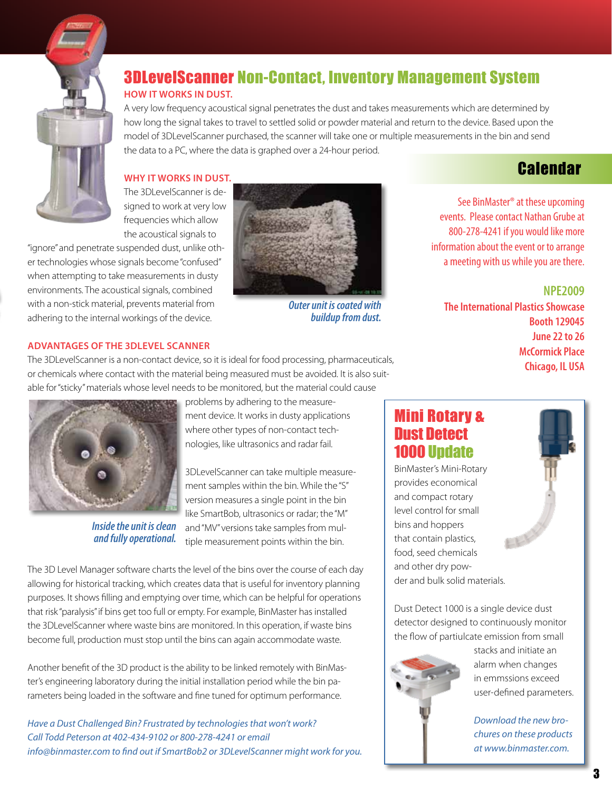

## 3DLevelScanner Non-Contact, Inventory Management System **How it works in dust.**

A very low frequency acoustical signal penetrates the dust and takes measurements which are determined by how long the signal takes to travel to settled solid or powder material and return to the device. Based upon the model of 3DLevelScanner purchased, the scanner will take one or multiple measurements in the bin and send the data to a PC, where the data is graphed over a 24-hour period.

#### **Why it works in dust.**

The 3DLevelScanner is designed to work at very low frequencies which allow the acoustical signals to

"ignore" and penetrate suspended dust, unlike other technologies whose signals become "confused" when attempting to take measurements in dusty environments. The acoustical signals, combined with a non-stick material, prevents material from adhering to the internal workings of the device.



*Outer unit is coated with buildup from dust.*

# **Calendar**

See BinMaster® at these upcoming events. Please contact Nathan Grube at 800-278-4241 if you would like more information about the event or to arrange a meeting with us while you are there.

#### **NPE2009**

**The International Plastics Showcase Booth 129045 June 22 to 26 McCormick Place Chicago, IL USA**

### **Advantages of the 3DLevel Scanner**

The 3DLevelScanner is a non-contact device, so it is ideal for food processing, pharmaceuticals, or chemicals where contact with the material being measured must be avoided. It is also suitable for "sticky" materials whose level needs to be monitored, but the material could cause



*Inside the unit is clean and fully operational.*

problems by adhering to the measurement device. It works in dusty applications where other types of non-contact technologies, like ultrasonics and radar fail.

3DLevelScanner can take multiple measurement samples within the bin. While the "S" version measures a single point in the bin like SmartBob, ultrasonics or radar; the "M" and "MV" versions take samples from multiple measurement points within the bin.

The 3D Level Manager software charts the level of the bins over the course of each day allowing for historical tracking, which creates data that is useful for inventory planning purposes. It shows filling and emptying over time, which can be helpful for operations that risk "paralysis" if bins get too full or empty. For example, BinMaster has installed the 3DLevelScanner where waste bins are monitored. In this operation, if waste bins become full, production must stop until the bins can again accommodate waste.

Another benefit of the 3D product is the ability to be linked remotely with BinMaster's engineering laboratory during the initial installation period while the bin parameters being loaded in the software and fine tuned for optimum performance.

*Have a Dust Challenged Bin? Frustrated by technologies that won't work? Call Todd Peterson at 402-434-9102 or 800-278-4241 or email info@binmaster.com to find out if SmartBob2 or 3DLevelScanner might work for you.*

### Mini Rotary & Dust Detect 1000 Update

BinMaster's Mini-Rotary provides economical and compact rotary level control for small bins and hoppers that contain plastics, food, seed chemicals and other dry powder and bulk solid materials.

Dust Detect 1000 is a single device dust detector designed to continuously monitor the flow of partiulcate emission from small



stacks and initiate an alarm when changes in emmssions exceed user-defined parameters.

*Download the new brochures on these products at www.binmaster.com.*